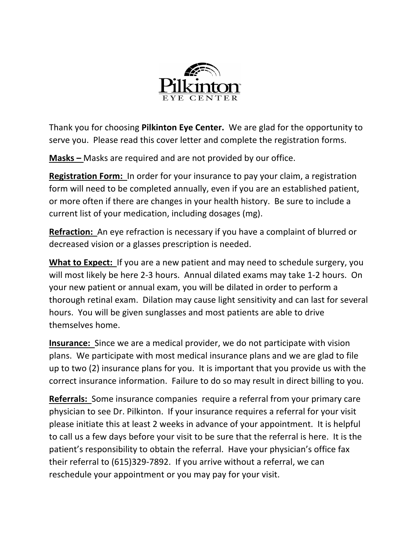

Thank you for choosing **Pilkinton Eye Center.** We are glad for the opportunity to serve you. Please read this cover letter and complete the registration forms.

**Masks –** Masks are required and are not provided by our office.

**Registration Form:** In order for your insurance to pay your claim, a registration form will need to be completed annually, even if you are an established patient, or more often if there are changes in your health history. Be sure to include a current list of your medication, including dosages (mg).

**Refraction:** An eye refraction is necessary if you have a complaint of blurred or decreased vision or a glasses prescription is needed.

**What to Expect:** If you are a new patient and may need to schedule surgery, you will most likely be here 2-3 hours. Annual dilated exams may take 1-2 hours. On your new patient or annual exam, you will be dilated in order to perform a thorough retinal exam. Dilation may cause light sensitivity and can last for several hours. You will be given sunglasses and most patients are able to drive themselves home.

**Insurance:** Since we are a medical provider, we do not participate with vision plans. We participate with most medical insurance plans and we are glad to file up to two (2) insurance plans for you. It is important that you provide us with the correct insurance information. Failure to do so may result in direct billing to you.

**Referrals:** Some insurance companies require a referral from your primary care physician to see Dr. Pilkinton. If your insurance requires a referral for your visit please initiate this at least 2 weeks in advance of your appointment. It is helpful to call us a few days before your visit to be sure that the referral is here. It is the patient's responsibility to obtain the referral. Have your physician's office fax their referral to (615)329-7892. If you arrive without a referral, we can reschedule your appointment or you may pay for your visit.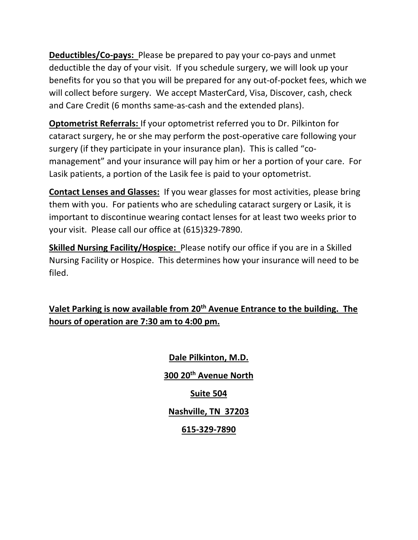**Deductibles/Co-pays:** Please be prepared to pay your co-pays and unmet deductible the day of your visit. If you schedule surgery, we will look up your benefits for you so that you will be prepared for any out-of-pocket fees, which we will collect before surgery. We accept MasterCard, Visa, Discover, cash, check and Care Credit (6 months same-as-cash and the extended plans).

**Optometrist Referrals:** If your optometrist referred you to Dr. Pilkinton for cataract surgery, he or she may perform the post-operative care following your surgery (if they participate in your insurance plan). This is called "comanagement" and your insurance will pay him or her a portion of your care. For Lasik patients, a portion of the Lasik fee is paid to your optometrist.

**Contact Lenses and Glasses:** If you wear glasses for most activities, please bring them with you. For patients who are scheduling cataract surgery or Lasik, it is important to discontinue wearing contact lenses for at least two weeks prior to your visit. Please call our office at (615)329-7890.

**Skilled Nursing Facility/Hospice:** Please notify our office if you are in a Skilled Nursing Facility or Hospice. This determines how your insurance will need to be filed.

**Valet Parking is now available from 20th Avenue Entrance to the building. The hours of operation are 7:30 am to 4:00 pm.**

> **Dale Pilkinton, M.D. 300 20th Avenue North Suite 504 Nashville, TN 37203 615-329-7890**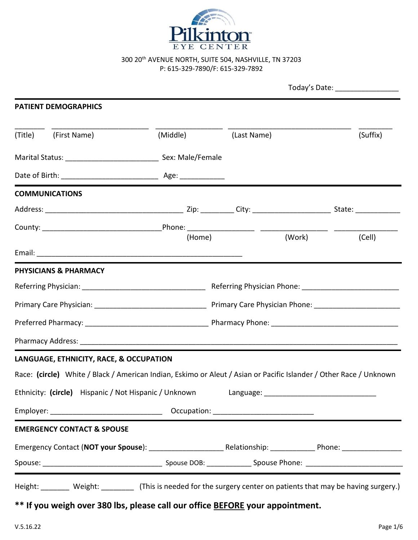

300 20<sup>th</sup> AVENUE NORTH, SUITE 504, NASHVILLE, TN 37203 P: 615-329-7890/F: 615-329-7892

|                                                                                                                    |                        |             | Today's Date: __________________ |          |  |
|--------------------------------------------------------------------------------------------------------------------|------------------------|-------------|----------------------------------|----------|--|
| <b>PATIENT DEMOGRAPHICS</b>                                                                                        |                        |             |                                  |          |  |
| (Title) (First Name)                                                                                               | (Middle) <b>Martin</b> | (Last Name) |                                  | (Suffix) |  |
| Marital Status: __________________________________ Sex: Male/Female                                                |                        |             |                                  |          |  |
|                                                                                                                    |                        |             |                                  |          |  |
| <b>COMMUNICATIONS</b>                                                                                              |                        |             |                                  |          |  |
|                                                                                                                    |                        |             |                                  |          |  |
|                                                                                                                    | (Home)                 |             | (Work)                           | (Cell)   |  |
|                                                                                                                    |                        |             |                                  |          |  |
| <b>PHYSICIANS &amp; PHARMACY</b>                                                                                   |                        |             |                                  |          |  |
|                                                                                                                    |                        |             |                                  |          |  |
|                                                                                                                    |                        |             |                                  |          |  |
|                                                                                                                    |                        |             |                                  |          |  |
|                                                                                                                    |                        |             |                                  |          |  |
| LANGUAGE, ETHNICITY, RACE, & OCCUPATION                                                                            |                        |             |                                  |          |  |
| Race: (circle) White / Black / American Indian, Eskimo or Aleut / Asian or Pacific Islander / Other Race / Unknown |                        |             |                                  |          |  |
| Ethnicity: (circle) Hispanic / Not Hispanic / Unknown                                                              |                        |             |                                  |          |  |
|                                                                                                                    |                        |             |                                  |          |  |
|                                                                                                                    |                        |             |                                  |          |  |
| <b>EMERGENCY CONTACT &amp; SPOUSE</b>                                                                              |                        |             |                                  |          |  |
|                                                                                                                    |                        |             |                                  |          |  |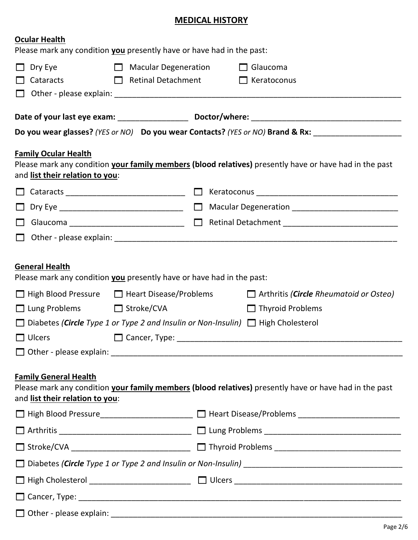# **MEDICAL HISTORY**

| <b>Ocular Health</b><br>Please mark any condition you presently have or have had in the past:                                                                                                         |                                                                                                                                   |  |
|-------------------------------------------------------------------------------------------------------------------------------------------------------------------------------------------------------|-----------------------------------------------------------------------------------------------------------------------------------|--|
|                                                                                                                                                                                                       |                                                                                                                                   |  |
| $\Box$ Macular Degeneration<br>Dry Eye                                                                                                                                                                | $\Box$ Glaucoma<br>Retinal Detachment C Keratoconus                                                                               |  |
| $\Box$ Cataracts                                                                                                                                                                                      |                                                                                                                                   |  |
|                                                                                                                                                                                                       |                                                                                                                                   |  |
|                                                                                                                                                                                                       |                                                                                                                                   |  |
|                                                                                                                                                                                                       | Do you wear glasses? (YES or NO) Do you wear Contacts? (YES or NO) Brand & Rx: _____________________                              |  |
| <b>Family Ocular Health</b><br>and list their relation to you:                                                                                                                                        | Please mark any condition your family members (blood relatives) presently have or have had in the past                            |  |
|                                                                                                                                                                                                       |                                                                                                                                   |  |
|                                                                                                                                                                                                       |                                                                                                                                   |  |
|                                                                                                                                                                                                       | □ Glaucoma ____________________________ □ Retinal Detachment _________________________                                            |  |
|                                                                                                                                                                                                       |                                                                                                                                   |  |
| Please mark any condition you presently have or have had in the past:<br>□ Lung Problems □ Stroke/CVA<br>$\Box$ Diabetes (Circle Type 1 or Type 2 and Insulin or Non-Insulin) $\Box$ High Cholesterol | $\Box$ High Blood Pressure $\Box$ Heart Disease/Problems $\Box$ Arthritis (Circle Rheumatoid or Osteo)<br>$\Box$ Thyroid Problems |  |
| <b>Family General Health</b><br>and list their relation to you:                                                                                                                                       | Please mark any condition your family members (blood relatives) presently have or have had in the past                            |  |
|                                                                                                                                                                                                       | □ High Blood Pressure _____________________ □ Heart Disease/Problems ______________________________                               |  |
|                                                                                                                                                                                                       |                                                                                                                                   |  |
|                                                                                                                                                                                                       |                                                                                                                                   |  |
|                                                                                                                                                                                                       |                                                                                                                                   |  |
|                                                                                                                                                                                                       |                                                                                                                                   |  |
|                                                                                                                                                                                                       |                                                                                                                                   |  |
|                                                                                                                                                                                                       |                                                                                                                                   |  |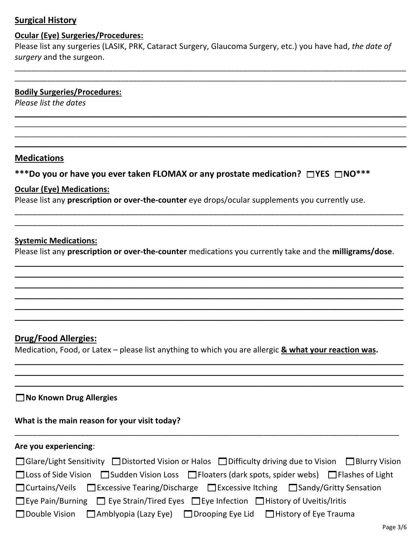# **Surgical History**

### **Ocular (Eye) Surgeries/Procedures:**

Please list any surgeries (LASIK, PRK, Cataract Surgery, Glaucoma Surgery, etc.) you have had, *the date of surgery* and the surgeon.

\_\_\_\_\_\_\_\_\_\_\_\_\_\_\_\_\_\_\_\_\_\_\_\_\_\_\_\_\_\_\_\_\_\_\_\_\_\_\_\_\_\_\_\_\_\_\_\_\_\_\_\_\_\_\_\_\_\_\_\_\_\_\_\_\_\_\_\_\_\_\_\_\_\_\_\_\_\_\_\_\_\_\_\_\_\_\_\_\_\_\_\_\_\_\_\_ \_\_\_\_\_\_\_\_\_\_\_\_\_\_\_\_\_\_\_\_\_\_\_\_\_\_\_\_\_\_\_\_\_\_\_\_\_\_\_\_\_\_\_\_\_\_\_\_\_\_\_\_\_\_\_\_\_\_\_\_\_\_\_\_\_\_\_\_\_\_\_\_\_\_\_\_\_\_\_\_\_\_\_\_\_\_\_\_\_\_\_\_\_\_\_\_

\_\_\_\_\_\_\_\_\_\_\_\_\_\_\_\_\_\_\_\_\_\_\_\_\_\_\_\_\_\_\_\_\_\_\_\_\_\_\_\_\_\_\_\_\_\_\_\_\_\_\_\_\_\_\_\_\_\_\_\_\_\_\_\_\_\_\_\_\_\_\_\_\_\_\_\_\_\_\_\_\_\_\_\_\_\_\_\_\_\_\_\_\_\_\_\_ \_\_\_\_\_\_\_\_\_\_\_\_\_\_\_\_\_\_\_\_\_\_\_\_\_\_\_\_\_\_\_\_\_\_\_\_\_\_\_\_\_\_\_\_\_\_\_\_\_\_\_\_\_\_\_\_\_\_\_\_\_\_\_\_\_\_\_\_\_\_\_\_\_\_\_\_\_\_\_\_\_\_\_\_\_\_\_\_\_\_\_\_\_\_\_\_ \_\_\_\_\_\_\_\_\_\_\_\_\_\_\_\_\_\_\_\_\_\_\_\_\_\_\_\_\_\_\_\_\_\_\_\_\_\_\_\_\_\_\_\_\_\_\_\_\_\_\_\_\_\_\_\_\_\_\_\_\_\_\_\_\_\_\_\_\_\_\_\_\_\_\_\_\_\_\_\_\_\_\_\_\_\_\_\_\_\_\_\_\_\_\_\_ \_\_\_\_\_\_\_\_\_\_\_\_\_\_\_\_\_\_\_\_\_\_\_\_\_\_\_\_\_\_\_\_\_\_\_\_\_\_\_\_\_\_\_\_\_\_\_\_\_\_\_\_\_\_\_\_\_\_\_\_\_\_\_\_\_\_\_\_\_\_\_\_\_\_\_\_\_\_\_\_\_\_\_\_\_\_\_\_\_\_\_\_\_\_\_\_

### **Bodily Surgeries/Procedures:**

*Please list the dates*

#### **Medications**

## **\*\*\*Do you or have you ever taken FLOMAX or any prostate medication? YES NO\*\*\***

### **Ocular (Eye) Medications:**

Please list any **prescription or over-the-counter** eye drops/ocular supplements you currently use.

#### **Systemic Medications:**

Please list any **prescription or over-the-counter** medications you currently take and the **milligrams/dose**.

\_\_\_\_\_\_\_\_\_\_\_\_\_\_\_\_\_\_\_\_\_\_\_\_\_\_\_\_\_\_\_\_\_\_\_\_\_\_\_\_\_\_\_\_\_\_\_\_\_\_\_\_\_\_\_\_\_\_\_\_\_\_\_\_\_\_\_\_\_\_\_\_\_\_\_\_\_\_\_\_\_\_\_\_\_\_\_\_ \_\_\_\_\_\_\_\_\_\_\_\_\_\_\_\_\_\_\_\_\_\_\_\_\_\_\_\_\_\_\_\_\_\_\_\_\_\_\_\_\_\_\_\_\_\_\_\_\_\_\_\_\_\_\_\_\_\_\_\_\_\_\_\_\_\_\_\_\_\_\_\_\_\_\_\_\_\_\_\_\_\_\_\_\_\_\_\_ \_\_\_\_\_\_\_\_\_\_\_\_\_\_\_\_\_\_\_\_\_\_\_\_\_\_\_\_\_\_\_\_\_\_\_\_\_\_\_\_\_\_\_\_\_\_\_\_\_\_\_\_\_\_\_\_\_\_\_\_\_\_\_\_\_\_\_\_\_\_\_\_\_\_\_\_\_\_\_\_\_\_\_\_\_\_\_\_ \_\_\_\_\_\_\_\_\_\_\_\_\_\_\_\_\_\_\_\_\_\_\_\_\_\_\_\_\_\_\_\_\_\_\_\_\_\_\_\_\_\_\_\_\_\_\_\_\_\_\_\_\_\_\_\_\_\_\_\_\_\_\_\_\_\_\_\_\_\_\_\_\_\_\_\_\_\_\_\_\_\_\_\_\_\_\_\_ \_\_\_\_\_\_\_\_\_\_\_\_\_\_\_\_\_\_\_\_\_\_\_\_\_\_\_\_\_\_\_\_\_\_\_\_\_\_\_\_\_\_\_\_\_\_\_\_\_\_\_\_\_\_\_\_\_\_\_\_\_\_\_\_\_\_\_\_\_\_\_\_\_\_\_\_\_\_\_\_\_\_\_\_\_\_\_\_ \_\_\_\_\_\_\_\_\_\_\_\_\_\_\_\_\_\_\_\_\_\_\_\_\_\_\_\_\_\_\_\_\_\_\_\_\_\_\_\_\_\_\_\_\_\_\_\_\_\_\_\_\_\_\_\_\_\_\_\_\_\_\_\_\_\_\_\_\_\_\_\_\_\_\_\_\_\_\_\_\_\_\_\_\_\_\_\_

\_\_\_\_\_\_\_\_\_\_\_\_\_\_\_\_\_\_\_\_\_\_\_\_\_\_\_\_\_\_\_\_\_\_\_\_\_\_\_\_\_\_\_\_\_\_\_\_\_\_\_\_\_\_\_\_\_\_\_\_\_\_\_\_\_\_\_\_\_\_\_\_\_\_\_\_\_\_\_\_\_\_\_\_\_\_\_\_ \_\_\_\_\_\_\_\_\_\_\_\_\_\_\_\_\_\_\_\_\_\_\_\_\_\_\_\_\_\_\_\_\_\_\_\_\_\_\_\_\_\_\_\_\_\_\_\_\_\_\_\_\_\_\_\_\_\_\_\_\_\_\_\_\_\_\_\_\_\_\_\_\_\_\_\_\_\_\_\_\_\_\_\_\_\_\_\_

## **Drug/Food Allergies:**

Medication, Food, or Latex – please list anything to which you are allergic **& what your reaction was.**

\_\_\_\_\_\_\_\_\_\_\_\_\_\_\_\_\_\_\_\_\_\_\_\_\_\_\_\_\_\_\_\_\_\_\_\_\_\_\_\_\_\_\_\_\_\_\_\_\_\_\_\_\_\_\_\_\_\_\_\_\_\_\_\_\_\_\_\_\_\_\_\_\_\_\_\_\_\_\_\_\_\_\_\_\_\_\_\_ \_\_\_\_\_\_\_\_\_\_\_\_\_\_\_\_\_\_\_\_\_\_\_\_\_\_\_\_\_\_\_\_\_\_\_\_\_\_\_\_\_\_\_\_\_\_\_\_\_\_\_\_\_\_\_\_\_\_\_\_\_\_\_\_\_\_\_\_\_\_\_\_\_\_\_\_\_\_\_\_\_\_\_\_\_\_\_\_ \_\_\_\_\_\_\_\_\_\_\_\_\_\_\_\_\_\_\_\_\_\_\_\_\_\_\_\_\_\_\_\_\_\_\_\_\_\_\_\_\_\_\_\_\_\_\_\_\_\_\_\_\_\_\_\_\_\_\_\_\_\_\_\_\_\_\_\_\_\_\_\_\_\_\_\_\_\_\_\_\_\_\_\_\_\_\_\_

## **No Known Drug Allergies**

# **What is the main reason for your visit today?**

## **Are you experiencing**:

| □ Glare/Light Sensitivity □ Distorted Vision or Halos □ Difficulty driving due to Vision □ Blurry Vision   |  |  |  |  |
|------------------------------------------------------------------------------------------------------------|--|--|--|--|
| □ Loss of Side Vision □ Sudden Vision Loss □ Floaters (dark spots, spider webs) □ Flashes of Light         |  |  |  |  |
| □ Curtains/Veils □ Excessive Tearing/Discharge □ Excessive Itching □ Sandy/Gritty Sensation                |  |  |  |  |
| $\Box$ Eye Pain/Burning $\Box$ Eye Strain/Tired Eyes $\Box$ Eye Infection $\Box$ History of Uveitis/Iritis |  |  |  |  |
| Double Vision $\Box$ Amblyopia (Lazy Eye) $\Box$ Drooping Eye Lid $\Box$ History of Eye Trauma             |  |  |  |  |

\_\_\_\_\_\_\_\_\_\_\_\_\_\_\_\_\_\_\_\_\_\_\_\_\_\_\_\_\_\_\_\_\_\_\_\_\_\_\_\_\_\_\_\_\_\_\_\_\_\_\_\_\_\_\_\_\_\_\_\_\_\_\_\_\_\_\_\_\_\_\_\_\_\_\_\_\_\_\_\_\_\_\_\_\_\_\_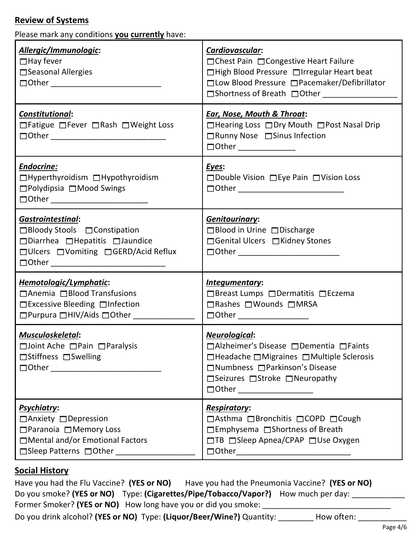## **Review of Systems**

Please mark any conditions **you currently** have:

| Allergic/Immunologic:<br>$\Box$ Hay fever<br>□ Seasonal Allergies                                                                                             | Cardiovascular:<br>□ Chest Pain □ Congestive Heart Failure<br>□High Blood Pressure □Irregular Heart beat<br>□ Low Blood Pressure □ Pacemaker/Defibrillator<br>□Shortness of Breath □Other ______________ |  |
|---------------------------------------------------------------------------------------------------------------------------------------------------------------|----------------------------------------------------------------------------------------------------------------------------------------------------------------------------------------------------------|--|
| Constitutional:<br>□ Fatigue □ Fever □ Rash □ Weight Loss                                                                                                     | <b>Ear, Nose, Mouth &amp; Throat:</b><br>□ Hearing Loss □ Dry Mouth □ Post Nasal Drip<br>□ Runny Nose □ Sinus Infection                                                                                  |  |
| Endocrine:<br>□Hyperthyroidism □Hypothyroidism<br>□Polydipsia □Mood Swings                                                                                    | Eyes:<br>□ Double Vision □ Eye Pain □ Vision Loss                                                                                                                                                        |  |
| <b>Gastrointestinal:</b><br>□Bloody Stools □ Constipation<br>□Diarrhea □Hepatitis □Jaundice<br>□ Ulcers □ Vomiting □ GERD/Acid Reflux                         | <b>Genitourinary:</b><br>□Blood in Urine □Discharge<br>□ Genital Ulcers □ Kidney Stones                                                                                                                  |  |
| Hemotologic/Lymphatic:<br>$\Box$ Anemia $\Box$ Blood Transfusions<br>$\Box$ Excessive Bleeding $\Box$ Infection                                               | Integumentary:<br>□Breast Lumps □Dermatitis □Eczema<br>□ Rashes □ Wounds □ MRSA<br>$\Box$ $\Box$ $\Box$                                                                                                  |  |
| Musculoskeletal:<br>$\Box$ Joint Ache $\Box$ Pain $\Box$ Paralysis<br>□Stiffness □Swelling                                                                    | Neurological:<br>□Alzheimer's Disease □Dementia □Faints<br>$\Box$ Headache $\Box$ Migraines $\Box$ Multiple Sclerosis<br>□Numbness □Parkinson's Disease<br>□Seizures □Stroke □Neuropathy                 |  |
| <b>Psychiatry:</b><br>□ Anxiety □ Depression<br>$\Box$ Paranoia $\Box$ Memory Loss<br>□ Mental and/or Emotional Factors<br>□Sleep Patterns □Other ___________ | <b>Respiratory:</b><br>□Asthma □Bronchitis □COPD □Cough<br>$\Box$ Emphysema $\Box$ Shortness of Breath<br>□TB □Sleep Apnea/CPAP □Use Oxygen                                                              |  |

## **Social History**

Have you had the Flu Vaccine? **(YES or NO)** Have you had the Pneumonia Vaccine? **(YES or NO)** Do you smoke? **(YES or NO)** Type: **(Cigarettes/Pipe/Tobacco/Vapor?)** How much per day: \_\_\_\_\_\_\_\_\_\_\_\_ Former Smoker? (YES or NO) How long have you or did you smoke: \_\_\_\_\_\_\_\_\_\_\_\_\_\_\_\_\_

Do you drink alcohol? **(YES or NO)** Type: **(Liquor/Beer/Wine?)** Quantity: \_\_\_\_\_\_\_\_ How often: \_\_\_\_\_\_\_\_\_\_\_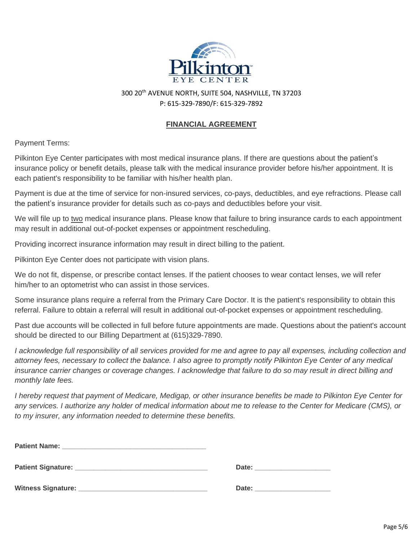

300 20th AVENUE NORTH, SUITE 504, NASHVILLE, TN 37203 P: 615-329-7890/F: 615-329-7892

#### **FINANCIAL AGREEMENT**

Payment Terms:

Pilkinton Eye Center participates with most medical insurance plans. If there are questions about the patient's insurance policy or benefit details, please talk with the medical insurance provider before his/her appointment. It is each patient's responsibility to be familiar with his/her health plan.

Payment is due at the time of service for non-insured services, co-pays, deductibles, and eye refractions. Please call the patient's insurance provider for details such as co-pays and deductibles before your visit.

We will file up to two medical insurance plans. Please know that failure to bring insurance cards to each appointment may result in additional out-of-pocket expenses or appointment rescheduling.

Providing incorrect insurance information may result in direct billing to the patient.

Pilkinton Eye Center does not participate with vision plans.

We do not fit, dispense, or prescribe contact lenses. If the patient chooses to wear contact lenses, we will refer him/her to an optometrist who can assist in those services.

Some insurance plans require a referral from the Primary Care Doctor. It is the patient's responsibility to obtain this referral. Failure to obtain a referral will result in additional out-of-pocket expenses or appointment rescheduling.

Past due accounts will be collected in full before future appointments are made. Questions about the patient's account should be directed to our Billing Department at (615)329-7890.

*I acknowledge full responsibility of all services provided for me and agree to pay all expenses, including collection and attorney fees, necessary to collect the balance. I also agree to promptly notify Pilkinton Eye Center of any medical insurance carrier changes or coverage changes. I acknowledge that failure to do so may result in direct billing and monthly late fees.*

*I hereby request that payment of Medicare, Medigap, or other insurance benefits be made to Pilkinton Eye Center for any services. I authorize any holder of medical information about me to release to the Center for Medicare (CMS), or to my insurer, any information needed to determine these benefits.*

| <b>Patient Name:</b>                     |       |  |
|------------------------------------------|-------|--|
| Patient Signature: Management Signature: | Date: |  |
| <b>Witness Signature:</b>                | Date: |  |